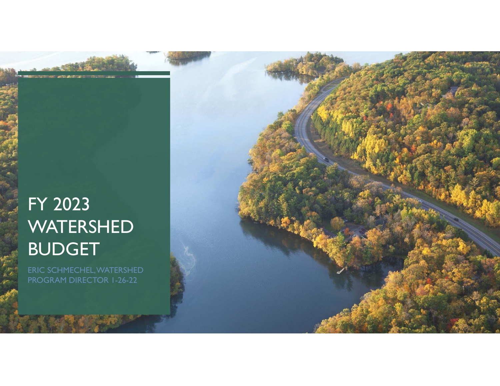# FY 2023 WATERSHED BUDGET

ERIC SCHMECHEL, WATERSHED PROGRAM DIRECTOR 1-26-22

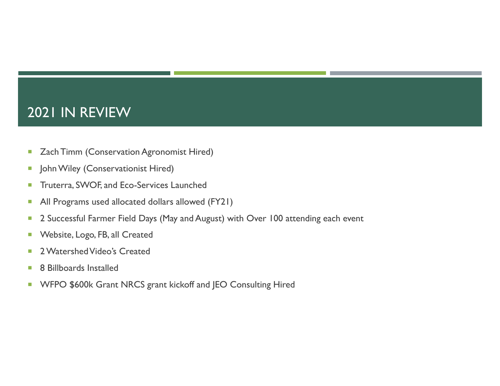### 2021 IN REVIEW

- $\Box$ Zach Timm (Conservation Agronomist Hired)
- $\overline{\phantom{a}}$ John Wiley (Conservationist Hired)
- $\Box$ Truterra, SWOF, and Eco-Services Launched
- ×, All Programs used allocated dollars allowed (FY21)
- ×, 2 Successful Farmer Field Days (May and August) with Over 100 attending each event
- ×, Website, Logo, FB, all Created
- $\mathcal{L}_{\mathcal{A}}$ 2 Watershed Video's Created
- T. 8 Billboards Installed
- $\mathcal{C}$ WFPO \$600k Grant NRCS grant kickoff and JEO Consulting Hired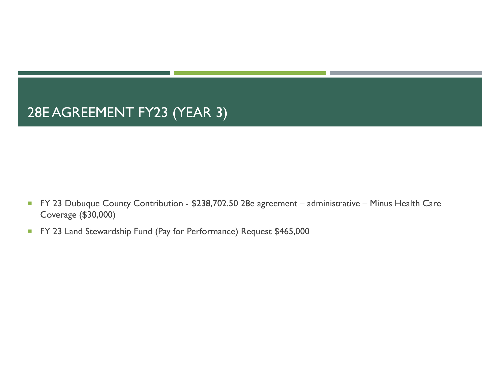# 28E AGREEMENT FY23 (YEAR 3)

- FY 23 Dubuque County Contribution \$238,702.50 28e agreement administrative Minus Health Care Coverage (\$30,000)
- $\mathcal{L}_{\mathcal{A}}$ FY 23 Land Stewardship Fund (Pay for Performance) Request \$465,000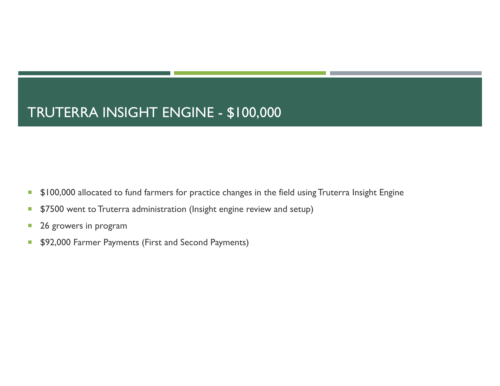# TRUTERRA INSIGHT ENGINE - \$100,000

- $\mathcal{C}$ \$100,000 allocated to fund farmers for practice changes in the field using Truterra Insight Engine
- ×, \$7500 went to Truterra administration (Insight engine review and setup)
- $\mathcal{C}$ 26 growers in program
- $\Box$ \$92,000 Farmer Payments (First and Second Payments)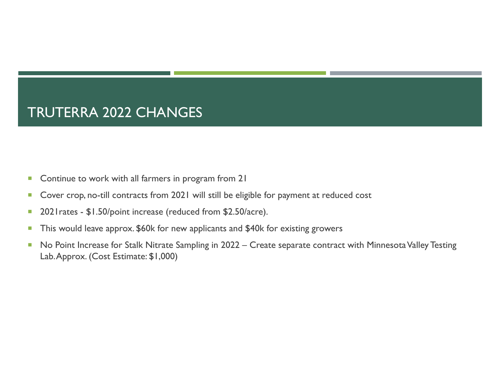# TRUTERRA 2022 CHANGES

- ×, Continue to work with all farmers in program from 21
- $\mathcal{C}$ Cover crop, no-till contracts from 2021 will still be eligible for payment at reduced cost
- T. 2021rates - \$1.50/point increase (reduced from \$2.50/acre).
- $\mathcal{C}$ This would leave approx. \$60k for new applicants and \$40k for existing growers
- T, No Point Increase for Stalk Nitrate Sampling in 2022 – Create separate contract with Minnesota Valley Testing Lab. Approx. (Cost Estimate: \$1,000)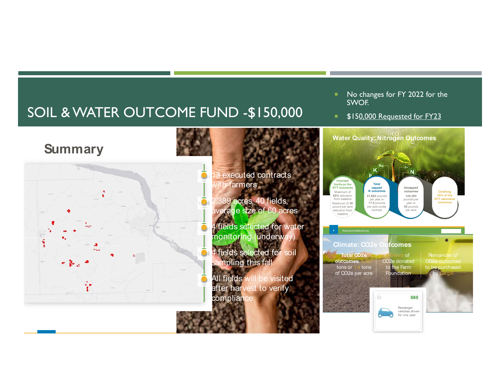# SOIL & WATER OUTCOME FUND -\$150,000

#### No changes for FY 2022 for the SWOF.

٠. \$150,000 Requested for FY23

#### **Summary**



#### executed contracts with farmers

- 389 acres, 40 fields, average size of 60 acres
- 4 fields selected for water monitoring (underway)
- 4 fields selected for soil ampling this fall
- All fields will be visited after harvest to verify compliance

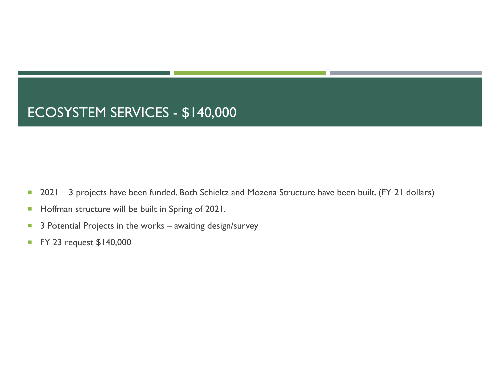# ECOSYSTEM SERVICES - \$140,000

- T, 2021 – 3 projects have been funded. Both Schieltz and Mozena Structure have been built. (FY 21 dollars)
- $\overline{\phantom{a}}$ Hoffman structure will be built in Spring of 2021.
- ×, 3 Potential Projects in the works – awaiting design/survey
- $\mathcal{C}$ FY 23 request \$140,000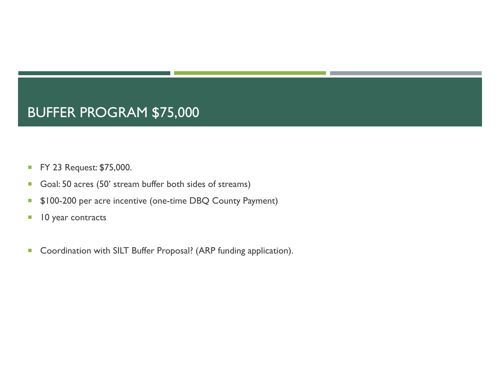# BUFFER PROGRAM \$75,000

- $\overline{\phantom{a}}$ FY 23 Request: \$75,000.
- $\mathcal{C}$ Goal: 50 acres (50' stream buffer both sides of streams)
- $\mathcal{L}_{\mathcal{A}}$ \$100-200 per acre incentive (one-time DBQ County Payment)
- T, 10 year contracts
- $\blacksquare$ Coordination with SILT Buffer Proposal? (ARP funding application).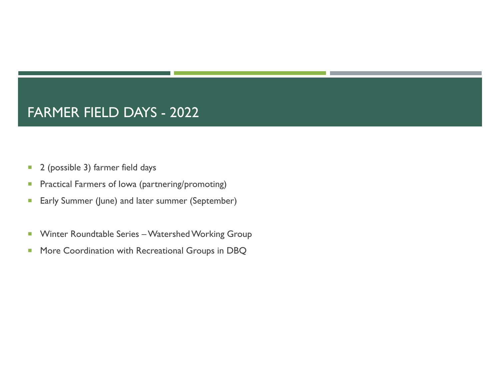### FARMER FIELD DAYS - 2022

- $\overline{\phantom{a}}$ 2 (possible 3) farmer field days
- $\mathcal{C}$ Practical Farmers of Iowa (partnering/promoting)
- $\mathcal{C}$ Early Summer (June) and later summer (September)
- $\mathcal{L}_{\mathcal{A}}$ Winter Roundtable Series – Watershed Working Group
- $\overline{\phantom{a}}$ More Coordination with Recreational Groups in DBQ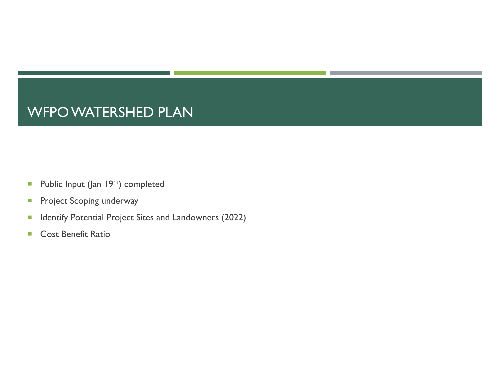### WFPO WATERSHED PLAN

- $\overline{\phantom{a}}$ Public Input (Jan 19th) completed
- $\overline{\phantom{a}}$ Project Scoping underway
- $\blacksquare$ Identify Potential Project Sites and Landowners (2022)
- $\mathcal{L}_{\mathcal{A}}$ Cost Benefit Ratio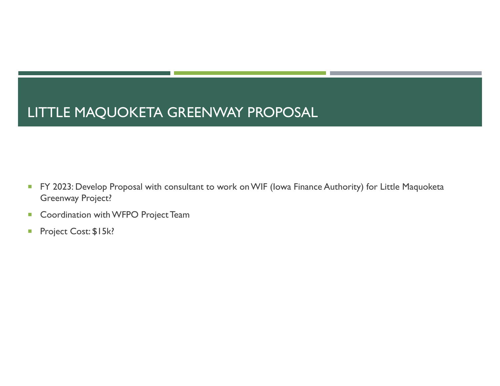# LITTLE MAQUOKETA GREENWAY PROPOSAL

- $\mathcal{L}_{\mathcal{A}}$  FY 2023: Develop Proposal with consultant to work on WIF (Iowa Finance Authority) for Little Maquoketa Greenway Project?
- $\mathcal{L}_{\mathcal{A}}$ Coordination with WFPO Project Team
- $\mathcal{C}$ Project Cost: \$15k?